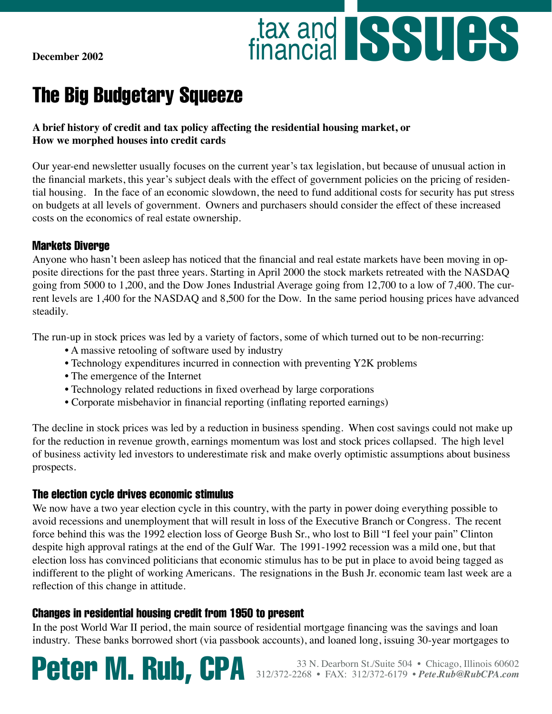**December 2002**



# The Big Budgetary Squeeze

#### **A brief history of credit and tax policy affecting the residential housing market, or How we morphed houses into credit cards**

Our year-end newsletter usually focuses on the current year's tax legislation, but because of unusual action in the financial markets, this year's subject deals with the effect of government policies on the pricing of residential housing. In the face of an economic slowdown, the need to fund additional costs for security has put stress on budgets at all levels of government. Owners and purchasers should consider the effect of these increased costs on the economics of real estate ownership.

#### Markets Diverge

Anyone who hasn't been asleep has noticed that the financial and real estate markets have been moving in opposite directions for the past three years. Starting in April 2000 the stock markets retreated with the NASDAQ going from 5000 to 1,200, and the Dow Jones Industrial Average going from 12,700 to a low of 7,400. The current levels are 1,400 for the NASDAQ and 8,500 for the Dow. In the same period housing prices have advanced steadily.

The run-up in stock prices was led by a variety of factors, some of which turned out to be non-recurring:

- A massive retooling of software used by industry
- Technology expenditures incurred in connection with preventing Y2K problems
- The emergence of the Internet
- Technology related reductions in fixed overhead by large corporations
- Corporate misbehavior in financial reporting (inflating reported earnings)

The decline in stock prices was led by a reduction in business spending. When cost savings could not make up for the reduction in revenue growth, earnings momentum was lost and stock prices collapsed. The high level of business activity led investors to underestimate risk and make overly optimistic assumptions about business prospects.

### The election cycle drives economic stimulus

We now have a two year election cycle in this country, with the party in power doing everything possible to avoid recessions and unemployment that will result in loss of the Executive Branch or Congress. The recent force behind this was the 1992 election loss of George Bush Sr., who lost to Bill "I feel your pain" Clinton despite high approval ratings at the end of the Gulf War. The 1991-1992 recession was a mild one, but that election loss has convinced politicians that economic stimulus has to be put in place to avoid being tagged as indifferent to the plight of working Americans. The resignations in the Bush Jr. economic team last week are a reflection of this change in attitude.

### Changes in residential housing credit from 1950 to present

In the post World War II period, the main source of residential mortgage financing was the savings and loan industry. These banks borrowed short (via passbook accounts), and loaned long, issuing 30-year mortgages to

Peter M. Rub, CPA 312/372-2268 • FAX: 312/372-6179 • *Pete.Rub@RubCPA.com*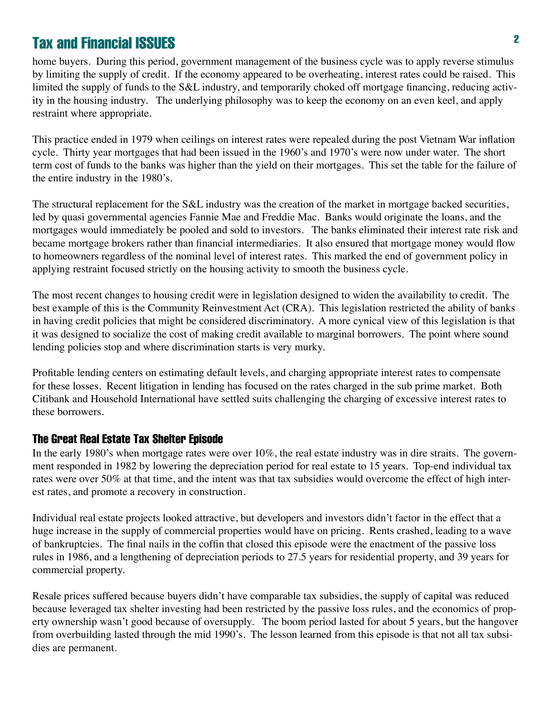home buyers. During this period, government management of the business cycle was to apply reverse stimulus by limiting the supply of credit. If the economy appeared to be overheating, interest rates could be raised. This limited the supply of funds to the S&L industry, and temporarily choked off mortgage financing, reducing activity in the housing industry. The underlying philosophy was to keep the economy on an even keel, and apply restraint where appropriate.

This practice ended in 1979 when ceilings on interest rates were repealed during the post Vietnam War inflation cycle. Thirty year mortgages that had been issued in the 1960's and 1970's were now under water. The short term cost of funds to the banks was higher than the yield on their mortgages. This set the table for the failure of the entire industry in the 1980's.

The structural replacement for the S&L industry was the creation of the market in mortgage backed securities, led by quasi governmental agencies Fannie Mae and Freddie Mac. Banks would originate the loans, and the mortgages would immediately be pooled and sold to investors. The banks eliminated their interest rate risk and became mortgage brokers rather than financial intermediaries. It also ensured that mortgage money would flow to homeowners regardless of the nominal level of interest rates. This marked the end of government policy in applying restraint focused strictly on the housing activity to smooth the business cycle.

The most recent changes to housing credit were in legislation designed to widen the availability to credit. The best example of this is the Community Reinvestment Act (CRA). This legislation restricted the ability of banks in having credit policies that might be considered discriminatory. A more cynical view of this legislation is that it was designed to socialize the cost of making credit available to marginal borrowers. The point where sound lending policies stop and where discrimination starts is very murky.

Profitable lending centers on estimating default levels, and charging appropriate interest rates to compensate for these losses. Recent litigation in lending has focused on the rates charged in the sub prime market. Both Citibank and Household International have settled suits challenging the charging of excessive interest rates to these borrowers.

#### The Great Real Estate Tax Shelter Episode

In the early 1980's when mortgage rates were over 10%, the real estate industry was in dire straits. The government responded in 1982 by lowering the depreciation period for real estate to 15 years. Top-end individual tax rates were over 50% at that time, and the intent was that tax subsidies would overcome the effect of high interest rates, and promote a recovery in construction.

Individual real estate projects looked attractive, but developers and investors didn't factor in the effect that a huge increase in the supply of commercial properties would have on pricing. Rents crashed, leading to a wave of bankruptcies. The final nails in the coffin that closed this episode were the enactment of the passive loss rules in 1986, and a lengthening of depreciation periods to 27.5 years for residential property, and 39 years for commercial property.

Resale prices suffered because buyers didn't have comparable tax subsidies, the supply of capital was reduced because leveraged tax shelter investing had been restricted by the passive loss rules, and the economics of property ownership wasn't good because of oversupply. The boom period lasted for about 5 years, but the hangover from overbuilding lasted through the mid 1990's. The lesson learned from this episode is that not all tax subsidies are permanent.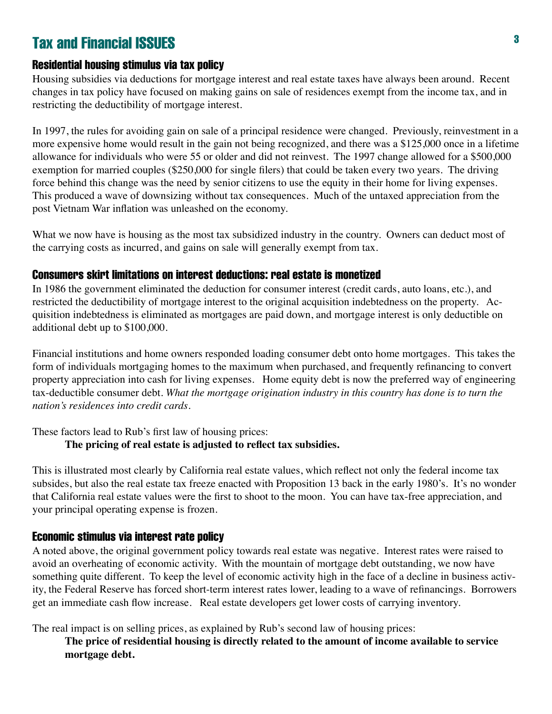#### Residential housing stimulus via tax policy

Housing subsidies via deductions for mortgage interest and real estate taxes have always been around. Recent changes in tax policy have focused on making gains on sale of residences exempt from the income tax, and in restricting the deductibility of mortgage interest.

In 1997, the rules for avoiding gain on sale of a principal residence were changed. Previously, reinvestment in a more expensive home would result in the gain not being recognized, and there was a \$125,000 once in a lifetime allowance for individuals who were 55 or older and did not reinvest. The 1997 change allowed for a \$500,000 exemption for married couples (\$250,000 for single filers) that could be taken every two years. The driving force behind this change was the need by senior citizens to use the equity in their home for living expenses. This produced a wave of downsizing without tax consequences. Much of the untaxed appreciation from the post Vietnam War inflation was unleashed on the economy.

What we now have is housing as the most tax subsidized industry in the country. Owners can deduct most of the carrying costs as incurred, and gains on sale will generally exempt from tax.

#### Consumers skirt limitations on interest deductions: real estate is monetized

In 1986 the government eliminated the deduction for consumer interest (credit cards, auto loans, etc.), and restricted the deductibility of mortgage interest to the original acquisition indebtedness on the property. Acquisition indebtedness is eliminated as mortgages are paid down, and mortgage interest is only deductible on additional debt up to \$100,000.

Financial institutions and home owners responded loading consumer debt onto home mortgages. This takes the form of individuals mortgaging homes to the maximum when purchased, and frequently refinancing to convert property appreciation into cash for living expenses. Home equity debt is now the preferred way of engineering tax-deductible consumer debt. *What the mortgage origination industry in this country has done is to turn the nation's residences into credit cards.*

These factors lead to Rub's first law of housing prices:

#### **The pricing of real estate is adjusted to reflect tax subsidies.**

This is illustrated most clearly by California real estate values, which reflect not only the federal income tax subsides, but also the real estate tax freeze enacted with Proposition 13 back in the early 1980's. It's no wonder that California real estate values were the first to shoot to the moon. You can have tax-free appreciation, and your principal operating expense is frozen.

#### Economic stimulus via interest rate policy

A noted above, the original government policy towards real estate was negative. Interest rates were raised to avoid an overheating of economic activity. With the mountain of mortgage debt outstanding, we now have something quite different. To keep the level of economic activity high in the face of a decline in business activity, the Federal Reserve has forced short-term interest rates lower, leading to a wave of refinancings. Borrowers get an immediate cash flow increase. Real estate developers get lower costs of carrying inventory.

The real impact is on selling prices, as explained by Rub's second law of housing prices:

**The price of residential housing is directly related to the amount of income available to service mortgage debt.**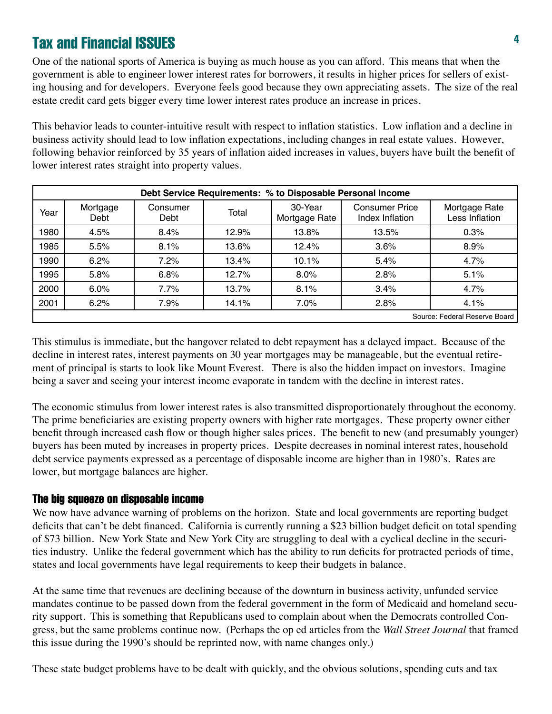One of the national sports of America is buying as much house as you can afford. This means that when the government is able to engineer lower interest rates for borrowers, it results in higher prices for sellers of existing housing and for developers. Everyone feels good because they own appreciating assets. The size of the real estate credit card gets bigger every time lower interest rates produce an increase in prices.

This behavior leads to counter-intuitive result with respect to inflation statistics. Low inflation and a decline in business activity should lead to low inflation expectations, including changes in real estate values. However, following behavior reinforced by 35 years of inflation aided increases in values, buyers have built the benefit of lower interest rates straight into property values.

| Debt Service Requirements: % to Disposable Personal Income |                  |                  |       |                          |                                          |                                 |
|------------------------------------------------------------|------------------|------------------|-------|--------------------------|------------------------------------------|---------------------------------|
| Year                                                       | Mortgage<br>Debt | Consumer<br>Debt | Total | 30-Year<br>Mortgage Rate | <b>Consumer Price</b><br>Index Inflation | Mortgage Rate<br>Less Inflation |
| 1980                                                       | 4.5%             | 8.4%             | 12.9% | 13.8%                    | 13.5%                                    | 0.3%                            |
| 1985                                                       | 5.5%             | 8.1%             | 13.6% | 12.4%                    | 3.6%                                     | 8.9%                            |
| 1990                                                       | 6.2%             | 7.2%             | 13.4% | 10.1%                    | 5.4%                                     | 4.7%                            |
| 1995                                                       | 5.8%             | 6.8%             | 12.7% | 8.0%                     | 2.8%                                     | 5.1%                            |
| 2000                                                       | 6.0%             | 7.7%             | 13.7% | 8.1%                     | 3.4%                                     | 4.7%                            |
| 2001                                                       | 6.2%             | 7.9%             | 14.1% | 7.0%                     | 2.8%                                     | 4.1%                            |
| Source: Federal Reserve Board I                            |                  |                  |       |                          |                                          |                                 |

This stimulus is immediate, but the hangover related to debt repayment has a delayed impact. Because of the decline in interest rates, interest payments on 30 year mortgages may be manageable, but the eventual retirement of principal is starts to look like Mount Everest. There is also the hidden impact on investors. Imagine being a saver and seeing your interest income evaporate in tandem with the decline in interest rates.

The economic stimulus from lower interest rates is also transmitted disproportionately throughout the economy. The prime beneficiaries are existing property owners with higher rate mortgages. These property owner either benefit through increased cash flow or though higher sales prices. The benefit to new (and presumably younger) buyers has been muted by increases in property prices. Despite decreases in nominal interest rates, household debt service payments expressed as a percentage of disposable income are higher than in 1980's. Rates are lower, but mortgage balances are higher.

#### The big squeeze on disposable income

We now have advance warning of problems on the horizon. State and local governments are reporting budget deficits that can't be debt financed. California is currently running a \$23 billion budget deficit on total spending of \$73 billion. New York State and New York City are struggling to deal with a cyclical decline in the securities industry. Unlike the federal government which has the ability to run deficits for protracted periods of time, states and local governments have legal requirements to keep their budgets in balance.

At the same time that revenues are declining because of the downturn in business activity, unfunded service mandates continue to be passed down from the federal government in the form of Medicaid and homeland security support. This is something that Republicans used to complain about when the Democrats controlled Congress, but the same problems continue now. (Perhaps the op ed articles from the *Wall Street Journal* that framed this issue during the 1990's should be reprinted now, with name changes only.)

These state budget problems have to be dealt with quickly, and the obvious solutions, spending cuts and tax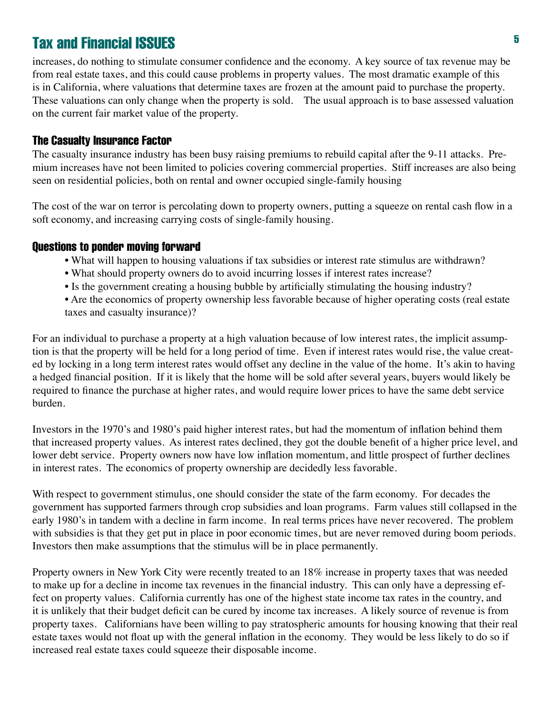increases, do nothing to stimulate consumer confidence and the economy. A key source of tax revenue may be from real estate taxes, and this could cause problems in property values. The most dramatic example of this is in California, where valuations that determine taxes are frozen at the amount paid to purchase the property. These valuations can only change when the property is sold. The usual approach is to base assessed valuation on the current fair market value of the property.

#### The Casualty Insurance Factor

The casualty insurance industry has been busy raising premiums to rebuild capital after the 9-11 attacks. Premium increases have not been limited to policies covering commercial properties. Stiff increases are also being seen on residential policies, both on rental and owner occupied single-family housing

The cost of the war on terror is percolating down to property owners, putting a squeeze on rental cash flow in a soft economy, and increasing carrying costs of single-family housing.

#### Questions to ponder moving forward

- What will happen to housing valuations if tax subsidies or interest rate stimulus are withdrawn?
- What should property owners do to avoid incurring losses if interest rates increase?
- Is the government creating a housing bubble by artificially stimulating the housing industry?
- Are the economics of property ownership less favorable because of higher operating costs (real estate taxes and casualty insurance)?

For an individual to purchase a property at a high valuation because of low interest rates, the implicit assumption is that the property will be held for a long period of time. Even if interest rates would rise, the value created by locking in a long term interest rates would offset any decline in the value of the home. It's akin to having a hedged financial position. If it is likely that the home will be sold after several years, buyers would likely be required to finance the purchase at higher rates, and would require lower prices to have the same debt service burden.

Investors in the 1970's and 1980's paid higher interest rates, but had the momentum of inflation behind them that increased property values. As interest rates declined, they got the double benefit of a higher price level, and lower debt service. Property owners now have low inflation momentum, and little prospect of further declines in interest rates. The economics of property ownership are decidedly less favorable.

With respect to government stimulus, one should consider the state of the farm economy. For decades the government has supported farmers through crop subsidies and loan programs. Farm values still collapsed in the early 1980's in tandem with a decline in farm income. In real terms prices have never recovered. The problem with subsidies is that they get put in place in poor economic times, but are never removed during boom periods. Investors then make assumptions that the stimulus will be in place permanently.

Property owners in New York City were recently treated to an 18% increase in property taxes that was needed to make up for a decline in income tax revenues in the financial industry. This can only have a depressing effect on property values. California currently has one of the highest state income tax rates in the country, and it is unlikely that their budget deficit can be cured by income tax increases. A likely source of revenue is from property taxes. Californians have been willing to pay stratospheric amounts for housing knowing that their real estate taxes would not float up with the general inflation in the economy. They would be less likely to do so if increased real estate taxes could squeeze their disposable income.